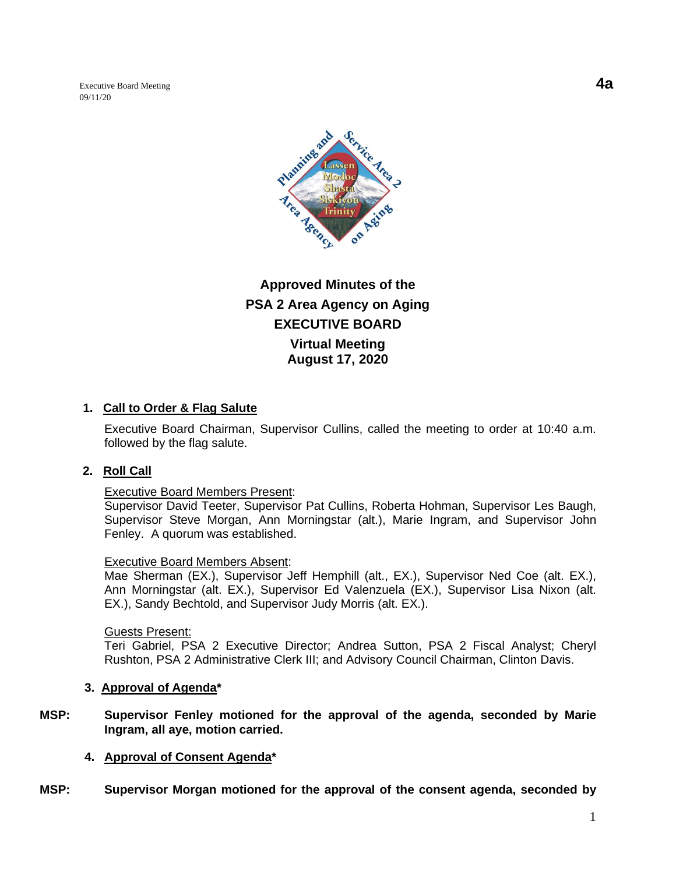Executive Board Meeting **4a** 09/11/20



**Approved Minutes of the PSA 2 Area Agency on Aging EXECUTIVE BOARD Virtual Meeting August 17, 2020**

## **1. Call to Order & Flag Salute**

Executive Board Chairman, Supervisor Cullins, called the meeting to order at 10:40 a.m. followed by the flag salute.

### **2. Roll Call**

#### Executive Board Members Present:

Supervisor David Teeter, Supervisor Pat Cullins, Roberta Hohman, Supervisor Les Baugh, Supervisor Steve Morgan, Ann Morningstar (alt.), Marie Ingram, and Supervisor John Fenley. A quorum was established.

#### Executive Board Members Absent:

Mae Sherman (EX.), Supervisor Jeff Hemphill (alt., EX.), Supervisor Ned Coe (alt. EX.), Ann Morningstar (alt. EX.), Supervisor Ed Valenzuela (EX.), Supervisor Lisa Nixon (alt. EX.), Sandy Bechtold, and Supervisor Judy Morris (alt. EX.).

#### Guests Present:

Teri Gabriel, PSA 2 Executive Director; Andrea Sutton, PSA 2 Fiscal Analyst; Cheryl Rushton, PSA 2 Administrative Clerk III; and Advisory Council Chairman, Clinton Davis.

### **3. Approval of Agenda\***

**MSP: Supervisor Fenley motioned for the approval of the agenda, seconded by Marie Ingram, all aye, motion carried.**

### **4. Approval of Consent Agenda\***

**MSP: Supervisor Morgan motioned for the approval of the consent agenda, seconded by**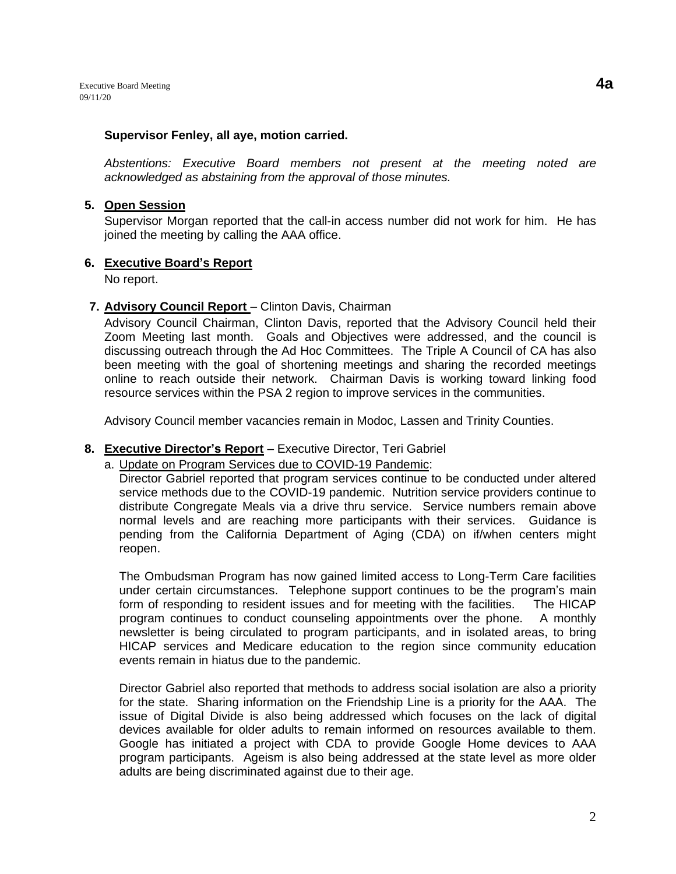#### **Supervisor Fenley, all aye, motion carried.**

*Abstentions: Executive Board members not present at the meeting noted are acknowledged as abstaining from the approval of those minutes.*

#### **5. Open Session**

Supervisor Morgan reported that the call-in access number did not work for him. He has joined the meeting by calling the AAA office.

### **6. Executive Board's Report**

No report.

### **7. Advisory Council Report** – Clinton Davis, Chairman

Advisory Council Chairman, Clinton Davis, reported that the Advisory Council held their Zoom Meeting last month. Goals and Objectives were addressed, and the council is discussing outreach through the Ad Hoc Committees. The Triple A Council of CA has also been meeting with the goal of shortening meetings and sharing the recorded meetings online to reach outside their network. Chairman Davis is working toward linking food resource services within the PSA 2 region to improve services in the communities.

Advisory Council member vacancies remain in Modoc, Lassen and Trinity Counties.

### **8. Executive Director's Report** – Executive Director, Teri Gabriel

a. Update on Program Services due to COVID-19 Pandemic:

Director Gabriel reported that program services continue to be conducted under altered service methods due to the COVID-19 pandemic. Nutrition service providers continue to distribute Congregate Meals via a drive thru service. Service numbers remain above normal levels and are reaching more participants with their services. Guidance is pending from the California Department of Aging (CDA) on if/when centers might reopen.

The Ombudsman Program has now gained limited access to Long-Term Care facilities under certain circumstances. Telephone support continues to be the program's main form of responding to resident issues and for meeting with the facilities. The HICAP program continues to conduct counseling appointments over the phone. A monthly newsletter is being circulated to program participants, and in isolated areas, to bring HICAP services and Medicare education to the region since community education events remain in hiatus due to the pandemic.

Director Gabriel also reported that methods to address social isolation are also a priority for the state. Sharing information on the Friendship Line is a priority for the AAA. The issue of Digital Divide is also being addressed which focuses on the lack of digital devices available for older adults to remain informed on resources available to them. Google has initiated a project with CDA to provide Google Home devices to AAA program participants. Ageism is also being addressed at the state level as more older adults are being discriminated against due to their age.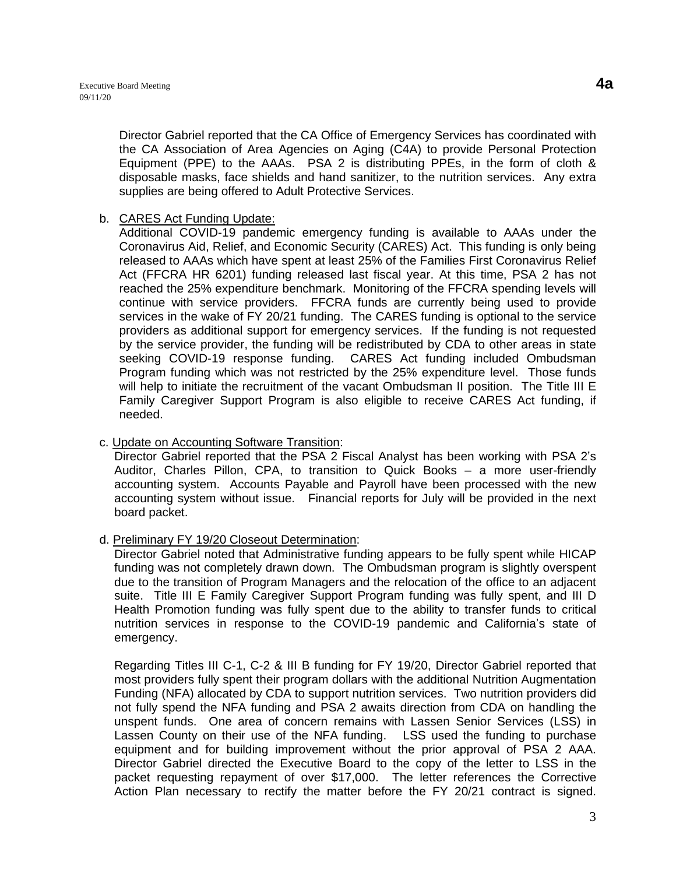Director Gabriel reported that the CA Office of Emergency Services has coordinated with the CA Association of Area Agencies on Aging (C4A) to provide Personal Protection Equipment (PPE) to the AAAs. PSA 2 is distributing PPEs, in the form of cloth & disposable masks, face shields and hand sanitizer, to the nutrition services. Any extra supplies are being offered to Adult Protective Services.

## b. CARES Act Funding Update:

Additional COVID-19 pandemic emergency funding is available to AAAs under the Coronavirus Aid, Relief, and Economic Security (CARES) Act. This funding is only being released to AAAs which have spent at least 25% of the Families First Coronavirus Relief Act (FFCRA HR 6201) funding released last fiscal year. At this time, PSA 2 has not reached the 25% expenditure benchmark. Monitoring of the FFCRA spending levels will continue with service providers. FFCRA funds are currently being used to provide services in the wake of FY 20/21 funding. The CARES funding is optional to the service providers as additional support for emergency services. If the funding is not requested by the service provider, the funding will be redistributed by CDA to other areas in state seeking COVID-19 response funding. CARES Act funding included Ombudsman Program funding which was not restricted by the 25% expenditure level. Those funds will help to initiate the recruitment of the vacant Ombudsman II position. The Title III E Family Caregiver Support Program is also eligible to receive CARES Act funding, if needed.

### c. Update on Accounting Software Transition:

Director Gabriel reported that the PSA 2 Fiscal Analyst has been working with PSA 2's Auditor, Charles Pillon, CPA, to transition to Quick Books – a more user-friendly accounting system. Accounts Payable and Payroll have been processed with the new accounting system without issue. Financial reports for July will be provided in the next board packet.

## d. Preliminary FY 19/20 Closeout Determination:

Director Gabriel noted that Administrative funding appears to be fully spent while HICAP funding was not completely drawn down. The Ombudsman program is slightly overspent due to the transition of Program Managers and the relocation of the office to an adjacent suite. Title III E Family Caregiver Support Program funding was fully spent, and III D Health Promotion funding was fully spent due to the ability to transfer funds to critical nutrition services in response to the COVID-19 pandemic and California's state of emergency.

Regarding Titles III C-1, C-2 & III B funding for FY 19/20, Director Gabriel reported that most providers fully spent their program dollars with the additional Nutrition Augmentation Funding (NFA) allocated by CDA to support nutrition services. Two nutrition providers did not fully spend the NFA funding and PSA 2 awaits direction from CDA on handling the unspent funds. One area of concern remains with Lassen Senior Services (LSS) in Lassen County on their use of the NFA funding. LSS used the funding to purchase equipment and for building improvement without the prior approval of PSA 2 AAA. Director Gabriel directed the Executive Board to the copy of the letter to LSS in the packet requesting repayment of over \$17,000. The letter references the Corrective Action Plan necessary to rectify the matter before the FY 20/21 contract is signed.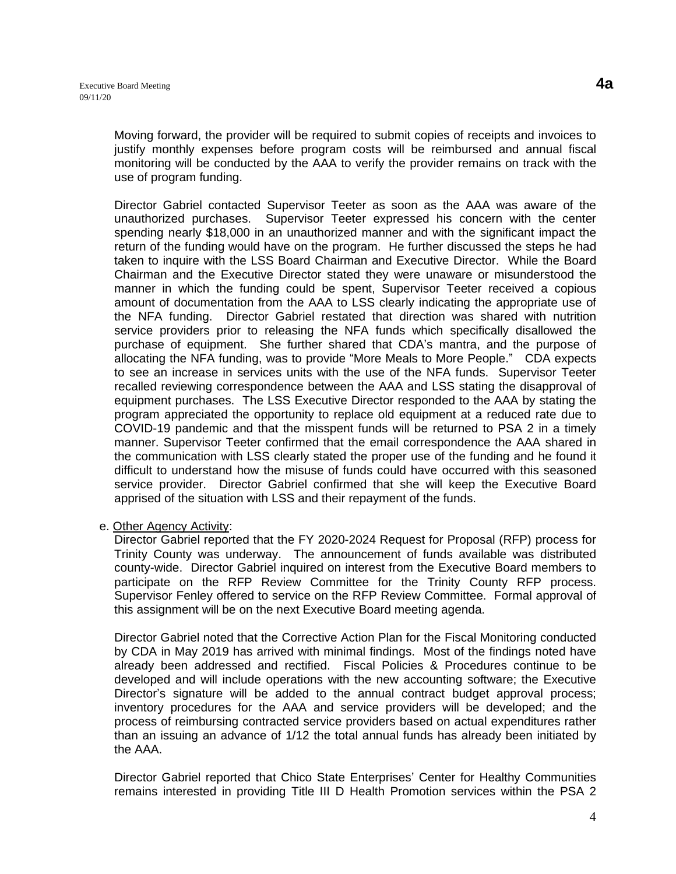Moving forward, the provider will be required to submit copies of receipts and invoices to justify monthly expenses before program costs will be reimbursed and annual fiscal monitoring will be conducted by the AAA to verify the provider remains on track with the use of program funding.

Director Gabriel contacted Supervisor Teeter as soon as the AAA was aware of the unauthorized purchases. Supervisor Teeter expressed his concern with the center spending nearly \$18,000 in an unauthorized manner and with the significant impact the return of the funding would have on the program. He further discussed the steps he had taken to inquire with the LSS Board Chairman and Executive Director. While the Board Chairman and the Executive Director stated they were unaware or misunderstood the manner in which the funding could be spent, Supervisor Teeter received a copious amount of documentation from the AAA to LSS clearly indicating the appropriate use of the NFA funding. Director Gabriel restated that direction was shared with nutrition service providers prior to releasing the NFA funds which specifically disallowed the purchase of equipment. She further shared that CDA's mantra, and the purpose of allocating the NFA funding, was to provide "More Meals to More People." CDA expects to see an increase in services units with the use of the NFA funds. Supervisor Teeter recalled reviewing correspondence between the AAA and LSS stating the disapproval of equipment purchases. The LSS Executive Director responded to the AAA by stating the program appreciated the opportunity to replace old equipment at a reduced rate due to COVID-19 pandemic and that the misspent funds will be returned to PSA 2 in a timely manner. Supervisor Teeter confirmed that the email correspondence the AAA shared in the communication with LSS clearly stated the proper use of the funding and he found it difficult to understand how the misuse of funds could have occurred with this seasoned service provider. Director Gabriel confirmed that she will keep the Executive Board apprised of the situation with LSS and their repayment of the funds.

### e. Other Agency Activity:

Director Gabriel reported that the FY 2020-2024 Request for Proposal (RFP) process for Trinity County was underway. The announcement of funds available was distributed county-wide. Director Gabriel inquired on interest from the Executive Board members to participate on the RFP Review Committee for the Trinity County RFP process. Supervisor Fenley offered to service on the RFP Review Committee. Formal approval of this assignment will be on the next Executive Board meeting agenda.

Director Gabriel noted that the Corrective Action Plan for the Fiscal Monitoring conducted by CDA in May 2019 has arrived with minimal findings. Most of the findings noted have already been addressed and rectified. Fiscal Policies & Procedures continue to be developed and will include operations with the new accounting software; the Executive Director's signature will be added to the annual contract budget approval process; inventory procedures for the AAA and service providers will be developed; and the process of reimbursing contracted service providers based on actual expenditures rather than an issuing an advance of 1/12 the total annual funds has already been initiated by the AAA.

Director Gabriel reported that Chico State Enterprises' Center for Healthy Communities remains interested in providing Title III D Health Promotion services within the PSA 2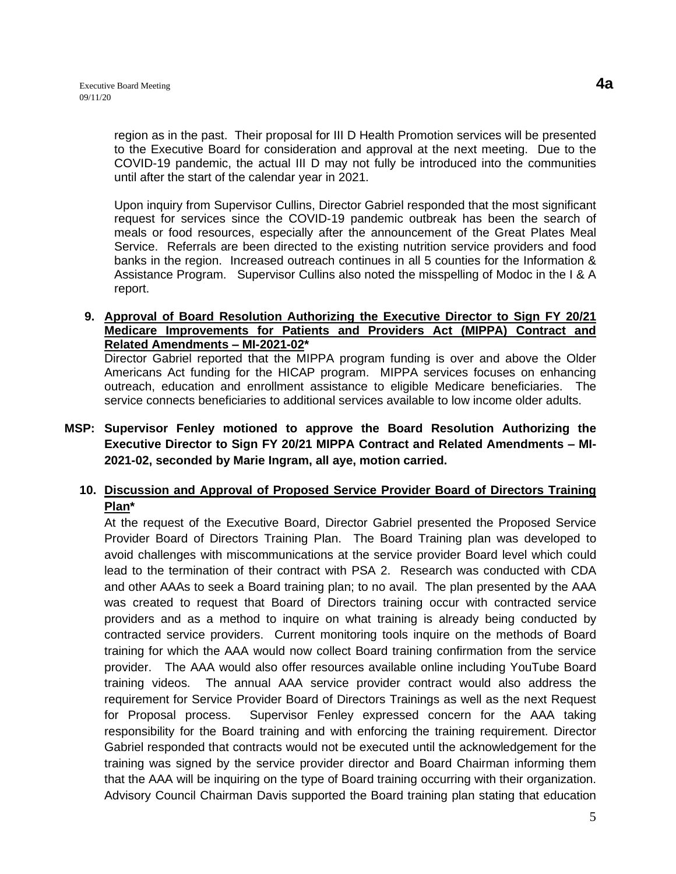region as in the past. Their proposal for III D Health Promotion services will be presented to the Executive Board for consideration and approval at the next meeting. Due to the COVID-19 pandemic, the actual III D may not fully be introduced into the communities until after the start of the calendar year in 2021.

Upon inquiry from Supervisor Cullins, Director Gabriel responded that the most significant request for services since the COVID-19 pandemic outbreak has been the search of meals or food resources, especially after the announcement of the Great Plates Meal Service. Referrals are been directed to the existing nutrition service providers and food banks in the region. Increased outreach continues in all 5 counties for the Information & Assistance Program. Supervisor Cullins also noted the misspelling of Modoc in the I & A report.

### **9. Approval of Board Resolution Authorizing the Executive Director to Sign FY 20/21 Medicare Improvements for Patients and Providers Act (MIPPA) Contract and Related Amendments – MI-2021-02\***

Director Gabriel reported that the MIPPA program funding is over and above the Older Americans Act funding for the HICAP program. MIPPA services focuses on enhancing outreach, education and enrollment assistance to eligible Medicare beneficiaries. The service connects beneficiaries to additional services available to low income older adults.

# **MSP: Supervisor Fenley motioned to approve the Board Resolution Authorizing the Executive Director to Sign FY 20/21 MIPPA Contract and Related Amendments – MI-2021-02, seconded by Marie Ingram, all aye, motion carried.**

# **10. Discussion and Approval of Proposed Service Provider Board of Directors Training Plan\***

At the request of the Executive Board, Director Gabriel presented the Proposed Service Provider Board of Directors Training Plan. The Board Training plan was developed to avoid challenges with miscommunications at the service provider Board level which could lead to the termination of their contract with PSA 2. Research was conducted with CDA and other AAAs to seek a Board training plan; to no avail. The plan presented by the AAA was created to request that Board of Directors training occur with contracted service providers and as a method to inquire on what training is already being conducted by contracted service providers. Current monitoring tools inquire on the methods of Board training for which the AAA would now collect Board training confirmation from the service provider. The AAA would also offer resources available online including YouTube Board training videos. The annual AAA service provider contract would also address the requirement for Service Provider Board of Directors Trainings as well as the next Request for Proposal process. Supervisor Fenley expressed concern for the AAA taking responsibility for the Board training and with enforcing the training requirement. Director Gabriel responded that contracts would not be executed until the acknowledgement for the training was signed by the service provider director and Board Chairman informing them that the AAA will be inquiring on the type of Board training occurring with their organization. Advisory Council Chairman Davis supported the Board training plan stating that education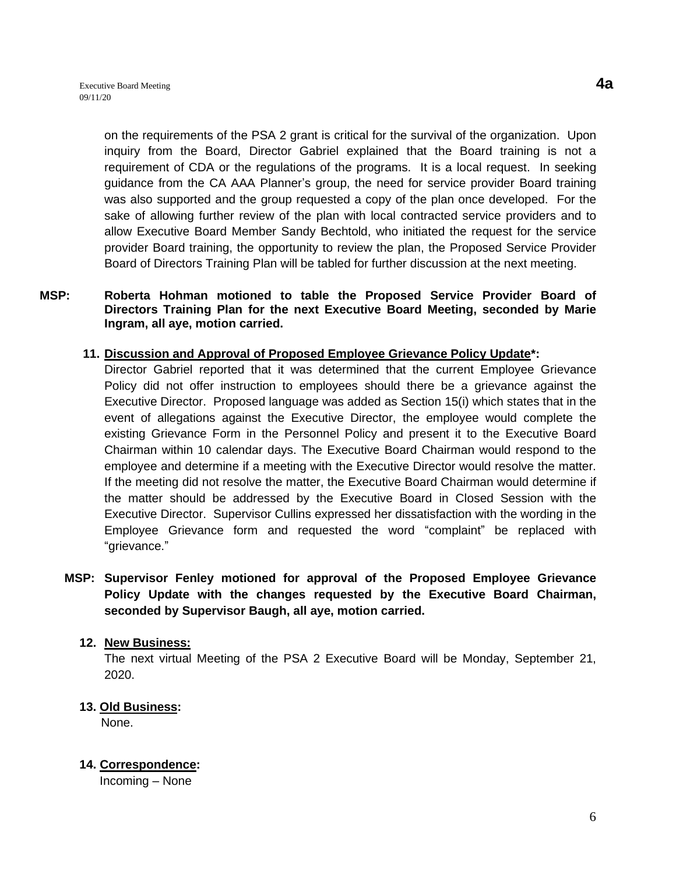on the requirements of the PSA 2 grant is critical for the survival of the organization. Upon inquiry from the Board, Director Gabriel explained that the Board training is not a requirement of CDA or the regulations of the programs. It is a local request. In seeking guidance from the CA AAA Planner's group, the need for service provider Board training was also supported and the group requested a copy of the plan once developed. For the sake of allowing further review of the plan with local contracted service providers and to allow Executive Board Member Sandy Bechtold, who initiated the request for the service provider Board training, the opportunity to review the plan, the Proposed Service Provider Board of Directors Training Plan will be tabled for further discussion at the next meeting.

### **MSP: Roberta Hohman motioned to table the Proposed Service Provider Board of Directors Training Plan for the next Executive Board Meeting, seconded by Marie Ingram, all aye, motion carried.**

### **11. Discussion and Approval of Proposed Employee Grievance Policy Update\*:**

Director Gabriel reported that it was determined that the current Employee Grievance Policy did not offer instruction to employees should there be a grievance against the Executive Director. Proposed language was added as Section 15(i) which states that in the event of allegations against the Executive Director, the employee would complete the existing Grievance Form in the Personnel Policy and present it to the Executive Board Chairman within 10 calendar days. The Executive Board Chairman would respond to the employee and determine if a meeting with the Executive Director would resolve the matter. If the meeting did not resolve the matter, the Executive Board Chairman would determine if the matter should be addressed by the Executive Board in Closed Session with the Executive Director. Supervisor Cullins expressed her dissatisfaction with the wording in the Employee Grievance form and requested the word "complaint" be replaced with "grievance."

# **MSP: Supervisor Fenley motioned for approval of the Proposed Employee Grievance Policy Update with the changes requested by the Executive Board Chairman, seconded by Supervisor Baugh, all aye, motion carried.**

### **12. New Business:**

The next virtual Meeting of the PSA 2 Executive Board will be Monday, September 21, 2020.

### **13. Old Business:**

None.

## **14. Correspondence:**

Incoming – None